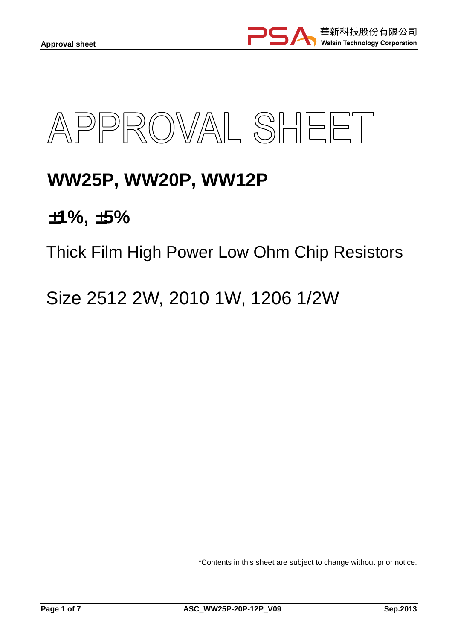



# **WW25P, WW20P, WW12P**

±**1%,** ±**5%** 

Thick Film High Power Low Ohm Chip Resistors

Size 2512 2W, 2010 1W, 1206 1/2W

\*Contents in this sheet are subject to change without prior notice.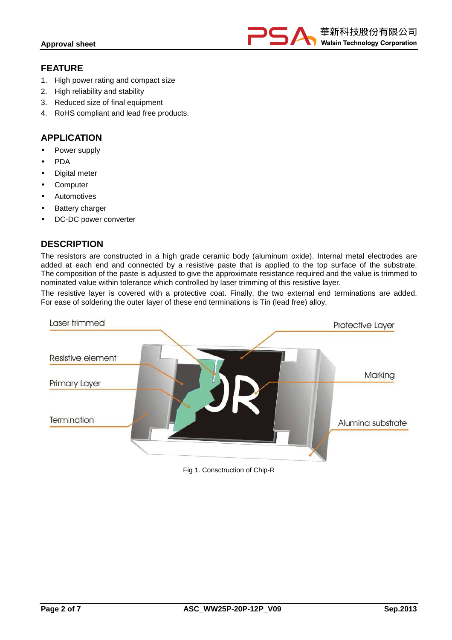

# **FEATURE**

- 1. High power rating and compact size
- 2. High reliability and stability
- 3. Reduced size of final equipment
- 4. RoHS compliant and lead free products.

# **APPLICATION**

- Power supply
- PDA
- Digital meter
- **Computer**
- **Automotives**
- **Battery charger**
- DC-DC power converter

# **DESCRIPTION**

The resistors are constructed in a high grade ceramic body (aluminum oxide). Internal metal electrodes are added at each end and connected by a resistive paste that is applied to the top surface of the substrate. The composition of the paste is adjusted to give the approximate resistance required and the value is trimmed to nominated value within tolerance which controlled by laser trimming of this resistive layer.

The resistive layer is covered with a protective coat. Finally, the two external end terminations are added. For ease of soldering the outer layer of these end terminations is Tin (lead free) alloy.



Fig 1. Consctruction of Chip-R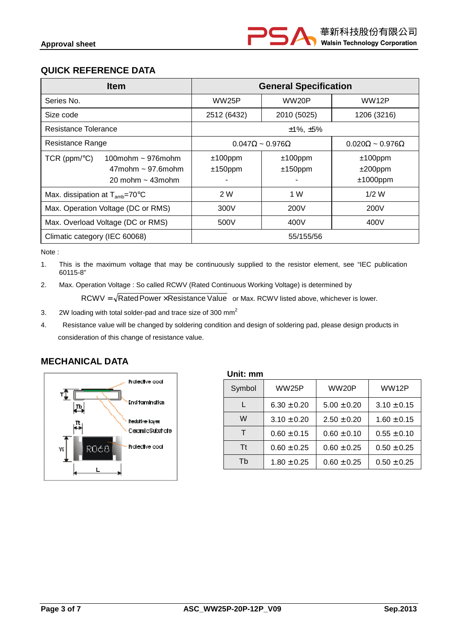# **QUICK REFERENCE DATA**

| <b>Item</b>                                                                                        | <b>General Specification</b>   |                          |                                         |
|----------------------------------------------------------------------------------------------------|--------------------------------|--------------------------|-----------------------------------------|
| Series No.                                                                                         | WW25P                          | WW20P                    | WW12P                                   |
| Size code                                                                                          | 2512 (6432)                    | 2010 (5025)              | 1206 (3216)                             |
| Resistance Tolerance                                                                               |                                | $±1\%$ , $±5\%$          |                                         |
| Resistance Range                                                                                   | $0.047\Omega \sim 0.976\Omega$ |                          | $0.020\Omega \sim 0.976\Omega$          |
| TCR (ppm/ $\degree$ C)<br>100mohm $\sim$ 976mohm<br>$47$ mohm ~ 97.6 mohm<br>20 mohm $\sim$ 43mohm | $±100$ ppm<br>$±150$ ppm       | $±100$ ppm<br>$±150$ ppm | $±100$ ppm<br>$±200$ ppm<br>$±1000$ ppm |
| Max. dissipation at $T_{amb}$ =70 $\degree$ C                                                      | 2 W                            | 1 W                      | $1/2$ W                                 |
| Max. Operation Voltage (DC or RMS)                                                                 | 300V                           | 200V                     | 200V                                    |
| Max. Overload Voltage (DC or RMS)                                                                  | 500V                           | 400V                     | 400V                                    |
| Climatic category (IEC 60068)                                                                      |                                | 55/155/56                |                                         |

Note :

1. This is the maximum voltage that may be continuously supplied to the resistor element, see "IEC publication 60115-8"

2. Max. Operation Voltage : So called RCWV (Rated Continuous Working Voltage) is determined by

 $RCWV = \sqrt{RatedPower \times Resistance Value}$  or Max. RCWV listed above, whichever is lower.

- 3. 2W loading with total solder-pad and trace size of 300 mm<sup>2</sup>
- 4. Resistance value will be changed by soldering condition and design of soldering pad, please design products in consideration of this change of resistance value.

# **MECHANICAL DATA**



| Symbol | <b>WW25P</b>    | WW20P           | WW12P           |
|--------|-----------------|-----------------|-----------------|
|        | $6.30 \pm 0.20$ | $5.00 \pm 0.20$ | $3.10 \pm 0.15$ |
| W      | $3.10 \pm 0.20$ | $2.50 \pm 0.20$ | $1.60 \pm 0.15$ |
|        | $0.60 \pm 0.15$ | $0.60 \pm 0.10$ | $0.55 \pm 0.10$ |
| Τt     | $0.60 \pm 0.25$ | $0.60 \pm 0.25$ | $0.50 \pm 0.25$ |
| Th     | $1.80 \pm 0.25$ | $0.60 \pm 0.25$ | $0.50 \pm 0.25$ |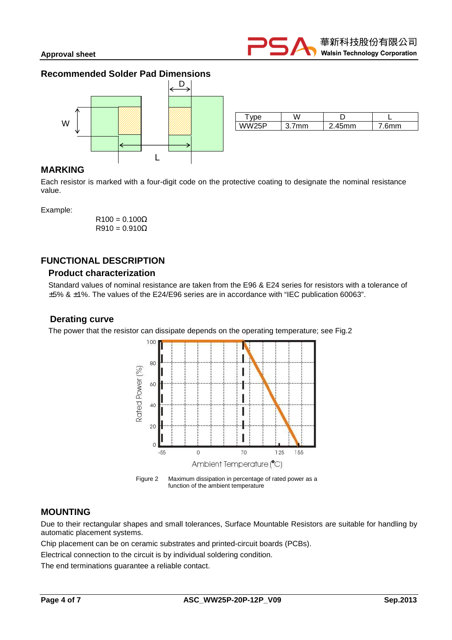## **Recommended Solder Pad Dimensions**



|       | W   |                  |     |
|-------|-----|------------------|-----|
| WW25P | 'nm | 45 <sub>mm</sub> | 6mm |

## **MARKING**

Each resistor is marked with a four-digit code on the protective coating to designate the nominal resistance value.

Example:

 $R100 = 0.100\Omega$  $R910 = 0.910\Omega$ 

# **FUNCTIONAL DESCRIPTION**

#### **Product characterization**

Standard values of nominal resistance are taken from the E96 & E24 series for resistors with a tolerance of ±5% & ±1%. The values of the E24/E96 series are in accordance with "IEC publication 60063".

#### **Derating curve**

The power that the resistor can dissipate depends on the operating temperature; see Fig.2





## **MOUNTING**

Due to their rectangular shapes and small tolerances, Surface Mountable Resistors are suitable for handling by automatic placement systems.

Chip placement can be on ceramic substrates and printed-circuit boards (PCBs).

Electrical connection to the circuit is by individual soldering condition.

The end terminations guarantee a reliable contact.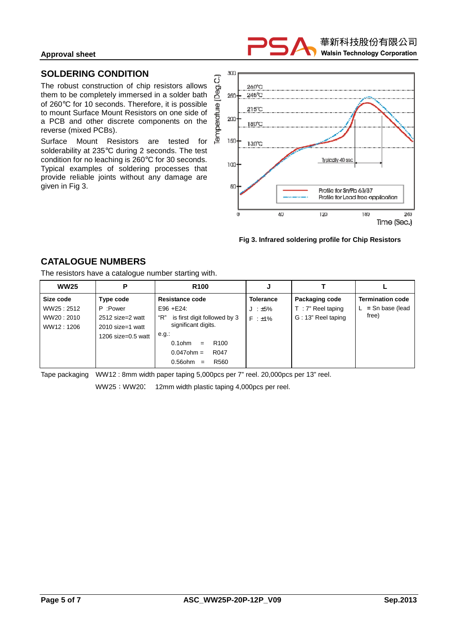#### **Approval sheet**



## **SOLDERING CONDITION**

The robust construction of chip resistors allows them to be completely immersed in a solder bath of 260°C for 10 seconds. Therefore, it is possible to mount Surface Mount Resistors on one side of a PCB and other discrete components on the reverse (mixed PCBs).

Surface Mount Resistors are tested for solderability at 235°C during 2 seconds. The test condition for no leaching is 260°C for 30 seconds. Typical examples of soldering processes that provide reliable joints without any damage are given in Fig 3.



#### **Fig 3. Infrared soldering profile for Chip Resistors**

# **CATALOGUE NUMBERS**

The resistors have a catalogue number starting with.

| <b>WW25</b> | P                     | R <sub>100</sub>                      | J                |                      |                         |
|-------------|-----------------------|---------------------------------------|------------------|----------------------|-------------------------|
| Size code   | Type code             | <b>Resistance code</b>                | <b>Tolerance</b> | Packaging code       | <b>Termination code</b> |
| WW25:2512   | P :Power              | $E96 + E24$ :                         | $J : \pm 5\%$    | $T : 7"$ Reel taping | $L =$ Sn base (lead     |
| WW20:2010   | 2512 size=2 watt      | "R"<br>is first digit followed by 3   | $F : +1\%$       | G: 13" Reel taping   | free)                   |
| WW12:1206   | $2010$ size=1 watt    | significant digits.                   |                  |                      |                         |
|             | 1206 size= $0.5$ watt | e.g.                                  |                  |                      |                         |
|             |                       | $0.1$ ohm<br>R <sub>100</sub><br>$=$  |                  |                      |                         |
|             |                       | $0.047$ ohm =<br>R <sub>047</sub>     |                  |                      |                         |
|             |                       | $0.56$ ohm<br>R <sub>560</sub><br>$=$ |                  |                      |                         |

Tape packaging WW12 : 8mm width paper taping 5,000pcs per 7" reel. 20,000pcs per 13" reel.

WW25; WW20: 12mm width plastic taping 4,000pcs per reel.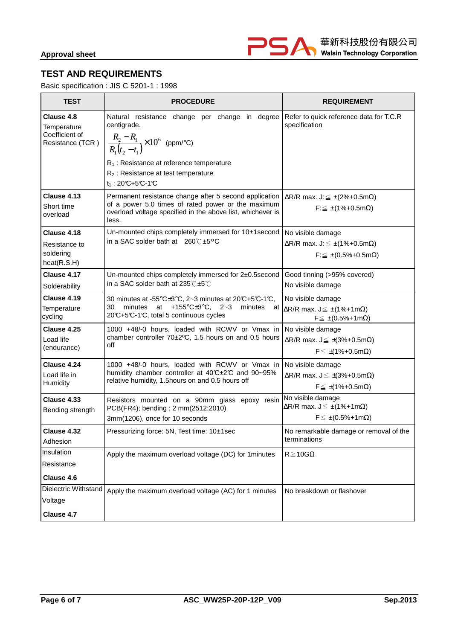

# **TEST AND REQUIREMENTS**

Basic specification : JIS C 5201-1 : 1998

| <b>TEST</b>                                                     | <b>PROCEDURE</b>                                                                                                                                                                                                                                                                                 | <b>REQUIREMENT</b>                                                                                                |
|-----------------------------------------------------------------|--------------------------------------------------------------------------------------------------------------------------------------------------------------------------------------------------------------------------------------------------------------------------------------------------|-------------------------------------------------------------------------------------------------------------------|
| Clause 4.8<br>Temperature<br>Coefficient of<br>Resistance (TCR) | Natural resistance change per change in degree Refer to quick reference data for T.C.R<br>centigrade.<br>$\frac{R_2 - R_1}{R_1(t_2 - t_1)}$ × 10 <sup>6</sup> (ppm/°C)<br>R <sub>1</sub> : Resistance at reference temperature<br>$R_2$ : Resistance at test temperature<br>$t_1$ : 20°C+5°C-1°C | specification                                                                                                     |
| Clause 4.13<br>Short time<br>overload                           | Permanent resistance change after 5 second application<br>of a power 5.0 times of rated power or the maximum<br>overload voltage specified in the above list, whichever is<br>less.                                                                                                              | $\Delta$ R/R max. J: $\leq \pm (2\% + 0.5$ m $\Omega)$<br>$F \leq \pm (1\% + 0.5m\Omega)$                         |
| Clause 4.18<br>Resistance to<br>soldering<br>heat(R.S.H)        | Un-mounted chips completely immersed for 10±1second<br>in a SAC solder bath at $260^{\circ}$ C ±5°C                                                                                                                                                                                              | No visible damage<br>$\Delta$ R/R max. J: $\leq \pm (1\% + 0.5$ m $\Omega)$<br>$F: \leq \pm (0.5\% + 0.5m\Omega)$ |
| Clause 4.17<br>Solderability                                    | Un-mounted chips completely immersed for 2±0.5second<br>in a SAC solder bath at 235℃±5℃                                                                                                                                                                                                          | Good tinning (>95% covered)<br>No visible damage                                                                  |
| Clause 4.19<br>Temperature<br>cycling                           | 30 minutes at -55 $\textdegree$ C $\pm$ 3 $\textdegree$ C, 2~3 minutes at 20°C+5°C-1°C,<br>+155 $\textdegree$ C $\pm$ 3 $\textdegree$ C, 2~3<br>30<br>minutes<br>at<br>minutes<br>at<br>20°C+5°C-1°C, total 5 continuous cycles                                                                  | No visible damage<br>$\Delta$ R/R max. J $\leq \pm (1\% + 1m\Omega)$<br>$F \leq \pm (0.5\% + 1m\Omega)$           |
| Clause 4.25<br>Load life<br>(endurance)                         | 1000 +48/-0 hours, loaded with RCWV or Vmax in<br>chamber controller 70±2°C, 1.5 hours on and 0.5 hours<br>off                                                                                                                                                                                   | No visible damage<br>$\Delta$ R/R max. J $\leq \pm (3\% + 0.5$ m $\Omega)$<br>$F \leq \pm (1\% + 0.5m\Omega)$     |
| Clause 4.24<br>Load life in<br>Humidity                         | 1000 +48/-0 hours, loaded with RCWV or Vmax in<br>humidity chamber controller at 40°C±2°C and 90~95%<br>relative humidity, 1.5hours on and 0.5 hours off                                                                                                                                         | No visible damage<br>$\Delta$ R/R max. J $\leq \pm (3\% + 0.5$ m $\Omega)$<br>$F \leq \pm (1\% + 0.5m\Omega)$     |
| Clause 4.33<br>Bending strength                                 | Resistors mounted on a 90mm glass epoxy resin<br>PCB(FR4); bending: 2 mm(2512;2010)<br>3mm(1206), once for 10 seconds                                                                                                                                                                            | No visible damage<br>$\Delta$ R/R max. J $\leq \pm (1\% + 1m\Omega)$<br>$F \leq \pm (0.5\% + 1m\Omega)$           |
| Clause 4.32<br>Adhesion                                         | Pressurizing force: 5N, Test time: 10±1sec                                                                                                                                                                                                                                                       | No remarkable damage or removal of the<br>terminations                                                            |
| Insulation<br>Resistance<br>Clause 4.6                          | Apply the maximum overload voltage (DC) for 1minutes                                                                                                                                                                                                                                             | $R\!\geq\!10G\Omega$                                                                                              |
| Dielectric Withstand<br>Voltage<br>Clause 4.7                   | Apply the maximum overload voltage (AC) for 1 minutes                                                                                                                                                                                                                                            | No breakdown or flashover                                                                                         |